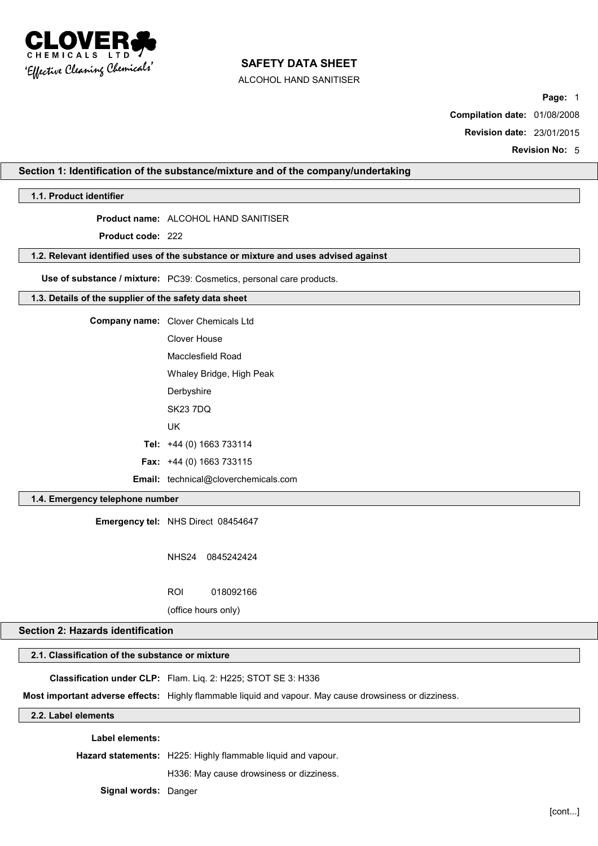

ALCOHOL HAND SANITISER

**Page:** 1

**Compilation date:** 01/08/2008

**Revision date:** 23/01/2015

**Revision No:** 5

## **Section 1: Identification of the substance/mixture and of the company/undertaking**

## **1.1. Product identifier**

## **Product name:** ALCOHOL HAND SANITISER

**Product code:** 222

#### **1.2. Relevant identified uses of the substance or mixture and uses advised against**

**Use of substance / mixture:** PC39: Cosmetics, personal care products.

### **1.3. Details of the supplier of the safety data sheet**

| <b>Company name:</b> Clover Chemicals Ltd |
|-------------------------------------------|
| Clover House                              |
| Macclesfield Road                         |
| Whaley Bridge, High Peak                  |
| Derbyshire                                |
| SK23 7DO                                  |
| UK                                        |
| Tel: +44 (0) 1663 733114                  |

**Fax:** +44 (0) 1663 733115

**Email:** technical@cloverchemicals.com

### **1.4. Emergency telephone number**

**Emergency tel:** NHS Direct 08454647

NHS24 0845242424

ROI 018092166

(office hours only)

### **Section 2: Hazards identification**

# **2.1. Classification of the substance or mixture**

**Classification under CLP:** Flam. Liq. 2: H225; STOT SE 3: H336

**Most important adverse effects:** Highly flammable liquid and vapour. May cause drowsiness or dizziness.

**2.2. Label elements**

**Label elements:**

**Hazard statements:** H225: Highly flammable liquid and vapour.

H336: May cause drowsiness or dizziness.

**Signal words:** Danger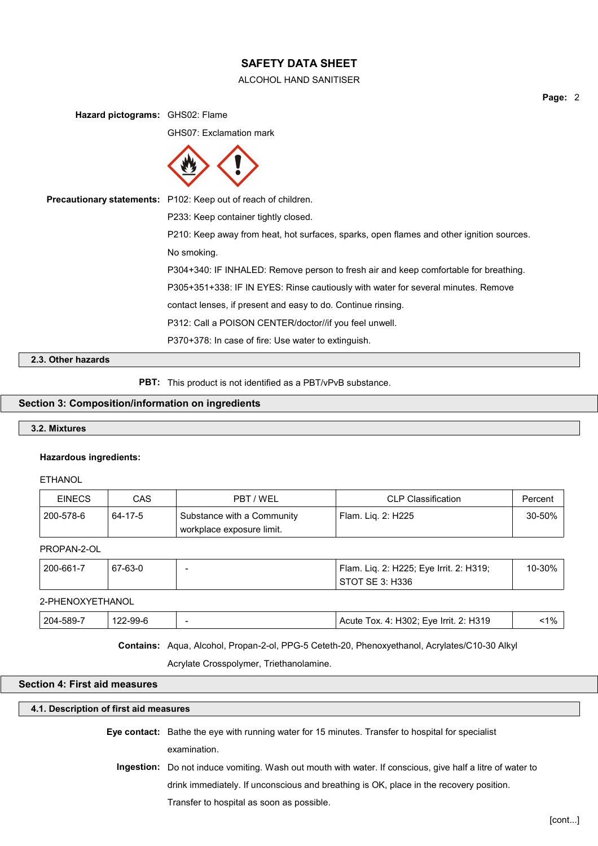### ALCOHOL HAND SANITISER

**Hazard pictograms:** GHS02: Flame GHS07: Exclamation mark **Precautionary statements:** P102: Keep out of reach of children. P233: Keep container tightly closed. P210: Keep away from heat, hot surfaces, sparks, open flames and other ignition sources. No smoking. P304+340: IF INHALED: Remove person to fresh air and keep comfortable for breathing. P305+351+338: IF IN EYES: Rinse cautiously with water for several minutes. Remove contact lenses, if present and easy to do. Continue rinsing.

P312: Call a POISON CENTER/doctor//if you feel unwell.

P370+378: In case of fire: Use water to extinguish.

**2.3. Other hazards**

**PBT:** This product is not identified as a PBT/vPvB substance.

## **Section 3: Composition/information on ingredients**

### **3.2. Mixtures**

## **Hazardous ingredients:**

ETHANOL

| <b>EINECS</b> | CAS     | PBT / WEL                                               | CLP Classification   | Percent |
|---------------|---------|---------------------------------------------------------|----------------------|---------|
| 200-578-6     | 64-17-5 | Substance with a Community<br>workplace exposure limit. | ' Flam. Lig. 2: H225 | 30-50%  |

### PROPAN-2-OL

| 200-661-7 | 67-63-0 | - | Flam. Liq. 2: H225; Eye Irrit. 2: H319;<br>STOT SE 3: H336 | 10-30% |
|-----------|---------|---|------------------------------------------------------------|--------|
|           |         |   |                                                            |        |

## 2-PHENOXYETHANOL

| $-1\%$<br>204-589-7<br>122-99-6<br>Acute Tox. 4: H302; Eye Irrit. 2: H319 |
|---------------------------------------------------------------------------|
|---------------------------------------------------------------------------|

**Contains:** Aqua, Alcohol, Propan-2-ol, PPG-5 Ceteth-20, Phenoxyethanol, Acrylates/C10-30 Alkyl

Acrylate Crosspolymer, Triethanolamine.

### **Section 4: First aid measures**

### **4.1. Description of first aid measures**

- **Eye contact:** Bathe the eye with running water for 15 minutes. Transfer to hospital for specialist examination.
	- **Ingestion:** Do not induce vomiting. Wash out mouth with water. If conscious, give half a litre of water to drink immediately. If unconscious and breathing is OK, place in the recovery position. Transfer to hospital as soon as possible.

[cont...]

**Page:** 2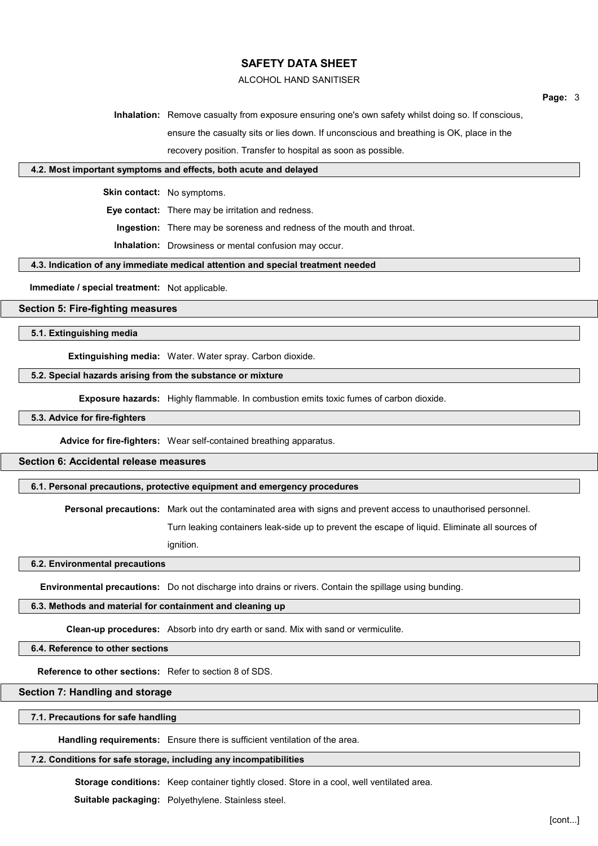### ALCOHOL HAND SANITISER

**Page:** 3

**Inhalation:** Remove casualty from exposure ensuring one's own safety whilst doing so. If conscious, ensure the casualty sits or lies down. If unconscious and breathing is OK, place in the

recovery position. Transfer to hospital as soon as possible.

## **4.2. Most important symptoms and effects, both acute and delayed**

**Skin contact:** No symptoms.

**Eye contact:** There may be irritation and redness.

**Ingestion:** There may be soreness and redness of the mouth and throat.

**Inhalation:** Drowsiness or mental confusion may occur.

#### **4.3. Indication of any immediate medical attention and special treatment needed**

**Immediate / special treatment:** Not applicable.

## **Section 5: Fire-fighting measures**

**5.1. Extinguishing media**

**Extinguishing media:** Water. Water spray. Carbon dioxide.

#### **5.2. Special hazards arising from the substance or mixture**

**Exposure hazards:** Highly flammable. In combustion emits toxic fumes of carbon dioxide.

## **5.3. Advice for fire-fighters**

**Advice for fire-fighters:** Wear self-contained breathing apparatus.

### **Section 6: Accidental release measures**

**6.1. Personal precautions, protective equipment and emergency procedures**

**Personal precautions:** Mark out the contaminated area with signs and prevent access to unauthorised personnel.

Turn leaking containers leak-side up to prevent the escape of liquid. Eliminate all sources of ignition.

**6.2. Environmental precautions**

**Environmental precautions:** Do not discharge into drains or rivers. Contain the spillage using bunding.

#### **6.3. Methods and material for containment and cleaning up**

**Clean-up procedures:** Absorb into dry earth or sand. Mix with sand or vermiculite.

**6.4. Reference to other sections**

**Reference to other sections:** Refer to section 8 of SDS.

### **Section 7: Handling and storage**

#### **7.1. Precautions for safe handling**

**Handling requirements:** Ensure there is sufficient ventilation of the area.

### **7.2. Conditions for safe storage, including any incompatibilities**

**Storage conditions:** Keep container tightly closed. Store in a cool, well ventilated area.

**Suitable packaging:** Polyethylene. Stainless steel.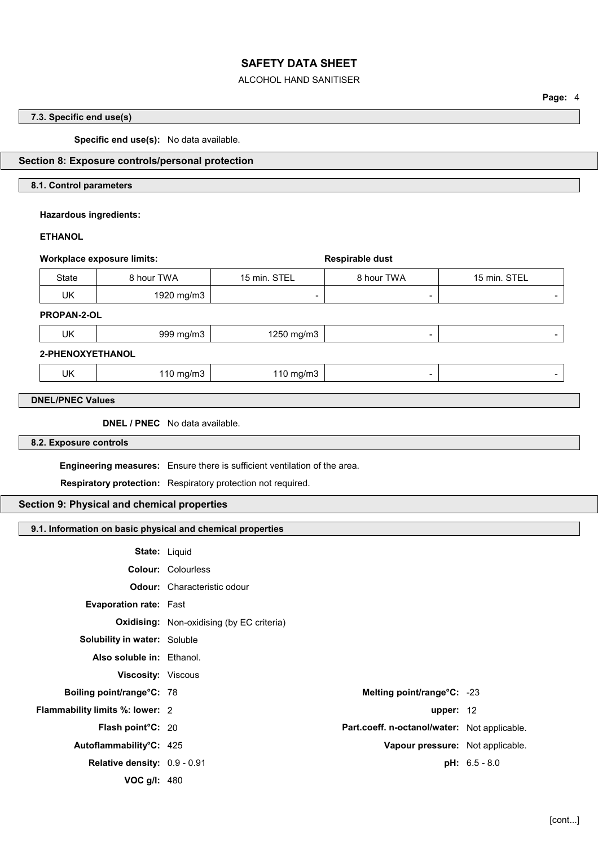### ALCOHOL HAND SANITISER

**Page:** 4

# **7.3. Specific end use(s)**

**Specific end use(s):** No data available.

# **Section 8: Exposure controls/personal protection**

## **8.1. Control parameters**

**Hazardous ingredients:**

## **ETHANOL**

| <b>Workplace exposure limits:</b> |                                                              |                                                                           | Respirable dust                              |               |
|-----------------------------------|--------------------------------------------------------------|---------------------------------------------------------------------------|----------------------------------------------|---------------|
| <b>State</b>                      | 8 hour TWA                                                   | 15 min. STEL                                                              | 8 hour TWA                                   | 15 min. STEL  |
| <b>UK</b>                         | 1920 mg/m3                                                   |                                                                           |                                              |               |
| PROPAN-2-OL                       |                                                              |                                                                           |                                              |               |
| UK                                | 999 mg/m3                                                    | 1250 mg/m3                                                                | $\overline{\phantom{a}}$                     |               |
| 2-PHENOXYETHANOL                  |                                                              |                                                                           |                                              |               |
| <b>UK</b>                         | 110 mg/m3                                                    | 110 mg/m3                                                                 | $\blacksquare$                               |               |
|                                   |                                                              |                                                                           |                                              |               |
| <b>DNEL/PNEC Values</b>           |                                                              |                                                                           |                                              |               |
|                                   | <b>DNEL / PNEC</b> No data available.                        |                                                                           |                                              |               |
| 8.2. Exposure controls            |                                                              |                                                                           |                                              |               |
|                                   |                                                              | Engineering measures: Ensure there is sufficient ventilation of the area. |                                              |               |
|                                   | Respiratory protection: Respiratory protection not required. |                                                                           |                                              |               |
|                                   | Section 9: Physical and chemical properties                  |                                                                           |                                              |               |
|                                   |                                                              |                                                                           |                                              |               |
|                                   | 9.1. Information on basic physical and chemical properties   |                                                                           |                                              |               |
|                                   | State: Liquid                                                |                                                                           |                                              |               |
|                                   | <b>Colour: Colourless</b>                                    |                                                                           |                                              |               |
|                                   | <b>Odour:</b> Characteristic odour                           |                                                                           |                                              |               |
|                                   | Evaporation rate: Fast                                       |                                                                           |                                              |               |
|                                   | <b>Oxidising:</b> Non-oxidising (by EC criteria)             |                                                                           |                                              |               |
|                                   | Solubility in water: Soluble                                 |                                                                           |                                              |               |
|                                   | Also soluble in: Ethanol.                                    |                                                                           |                                              |               |
|                                   | Viscosity: Viscous                                           |                                                                           |                                              |               |
|                                   | Boiling point/range°C: 78                                    |                                                                           | Melting point/range°C: -23                   |               |
|                                   | Flammability limits %: lower: 2                              |                                                                           | upper: $12$                                  |               |
|                                   | Flash point°C: 20                                            |                                                                           | Part.coeff. n-octanol/water: Not applicable. |               |
|                                   | Autoflammability°C: 425                                      |                                                                           | Vapour pressure: Not applicable.             |               |
|                                   | Relative density: 0.9 - 0.91                                 |                                                                           |                                              | pH: 6.5 - 8.0 |
|                                   | VOC g/l: 480                                                 |                                                                           |                                              |               |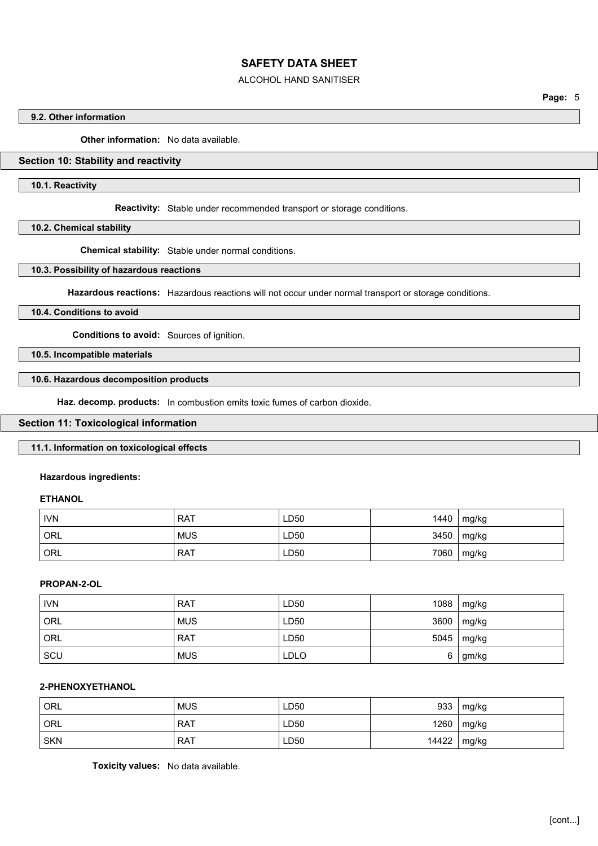### ALCOHOL HAND SANITISER

**Page:** 5

## **9.2. Other information**

**Other information:** No data available.

## **Section 10: Stability and reactivity**

**10.1. Reactivity**

**Reactivity:** Stable under recommended transport or storage conditions.

**10.2. Chemical stability**

**Chemical stability:** Stable under normal conditions.

## **10.3. Possibility of hazardous reactions**

**Hazardous reactions:** Hazardous reactions will not occur under normal transport or storage conditions.

#### **10.4. Conditions to avoid**

**Conditions to avoid:** Sources of ignition.

**10.5. Incompatible materials**

### **10.6. Hazardous decomposition products**

**Haz. decomp. products:** In combustion emits toxic fumes of carbon dioxide.

#### **Section 11: Toxicological information**

### **11.1. Information on toxicological effects**

### **Hazardous ingredients:**

#### **ETHANOL**

| <b>IVN</b> | <b>RAT</b> | LD50 | 1440 | mg/kg |
|------------|------------|------|------|-------|
| ORL        | <b>MUS</b> | LD50 | 3450 | mg/kg |
| ORL        | <b>RAT</b> | LD50 | 7060 | mg/kg |

### **PROPAN-2-OL**

| <b>IVN</b> | <b>RAT</b> | LD50        | 1088 | mg/kg |
|------------|------------|-------------|------|-------|
| ORL        | <b>MUS</b> | LD50        | 3600 | mg/kg |
| ORL        | <b>RAT</b> | LD50        | 5045 | mg/kg |
| SCU        | <b>MUS</b> | <b>LDLO</b> | 6    | gm/kg |

## **2-PHENOXYETHANOL**

| ' ORL      | <b>MUS</b> | LD50 | 933   | mg/kg |
|------------|------------|------|-------|-------|
| ORL        | <b>RAT</b> | LD50 | 1260  | mg/kg |
| <b>SKN</b> | RAT        | LD50 | 14422 | mg/kg |

**Toxicity values:** No data available.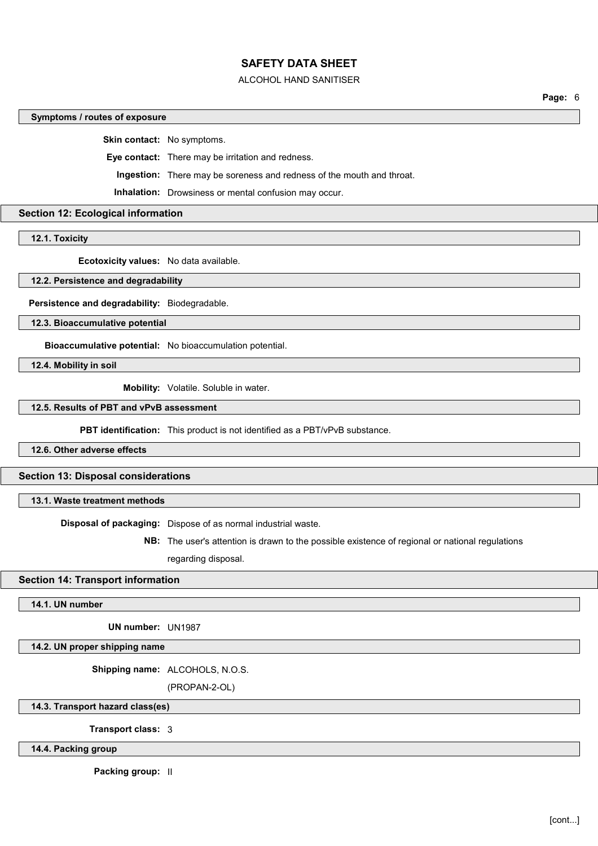#### ALCOHOL HAND SANITISER

**Page:** 6

#### **Symptoms / routes of exposure**

**Skin contact:** No symptoms.

**Eye contact:** There may be irritation and redness.

**Ingestion:** There may be soreness and redness of the mouth and throat.

**Inhalation:** Drowsiness or mental confusion may occur.

## **Section 12: Ecological information**

**12.1. Toxicity**

**Ecotoxicity values:** No data available.

**12.2. Persistence and degradability**

**Persistence and degradability:** Biodegradable.

**12.3. Bioaccumulative potential**

**Bioaccumulative potential:** No bioaccumulation potential.

**12.4. Mobility in soil**

**Mobility:** Volatile. Soluble in water.

# **12.5. Results of PBT and vPvB assessment**

**PBT identification:** This product is not identified as a PBT/vPvB substance.

**12.6. Other adverse effects**

**Section 13: Disposal considerations**

**13.1. Waste treatment methods**

**Disposal of packaging:** Dispose of as normal industrial waste.

**NB:** The user's attention is drawn to the possible existence of regional or national regulations regarding disposal.

### **Section 14: Transport information**

### **14.1. UN number**

**UN number:** UN1987

**14.2. UN proper shipping name**

**Shipping name:** ALCOHOLS, N.O.S.

(PROPAN-2-OL)

**14.3. Transport hazard class(es)**

**Transport class:** 3

**14.4. Packing group**

**Packing group:** II